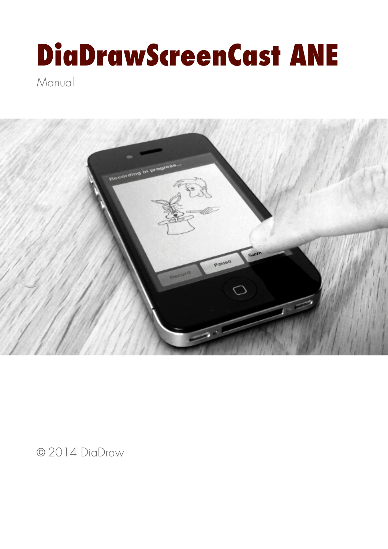# **DiaDrawScreenCast ANE**

**Manual** 



© 2014 DiaDraw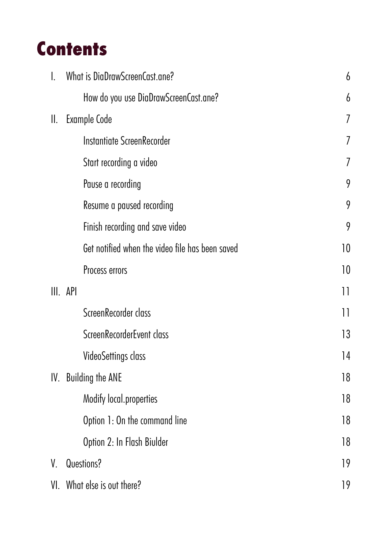## **Contents**

|           | What is DiaDrawScreenCast.ane?                  | 6  |
|-----------|-------------------------------------------------|----|
|           | How do you use DiaDrawScreenCast.ane?           | 6  |
| $\prod$ . | Example Code                                    | 7  |
|           | Instantiate ScreenRecorder                      | 7  |
|           | Start recording a video                         | 7  |
|           | Pause a recording                               | 9  |
|           | Resume a paused recording                       | 9  |
|           | Finish recording and save video                 | 9  |
|           | Get notified when the video file has been saved | 10 |
|           | Process errors                                  | 10 |
|           | III. API                                        | 11 |
|           | ScreenRecorder class                            | 11 |
|           | ScreenRecorderEvent class                       | 13 |
|           | <b>VideoSettings class</b>                      | 14 |
| IV.       | <b>Building the ANE</b>                         | 18 |
|           | Modify local.properties                         | 18 |
|           | Option 1: On the command line                   | 18 |
|           | Option 2: In Flash Biulder                      | 18 |
| V.        | Questions?                                      | 19 |
| VI.       | What else is out there?                         | 19 |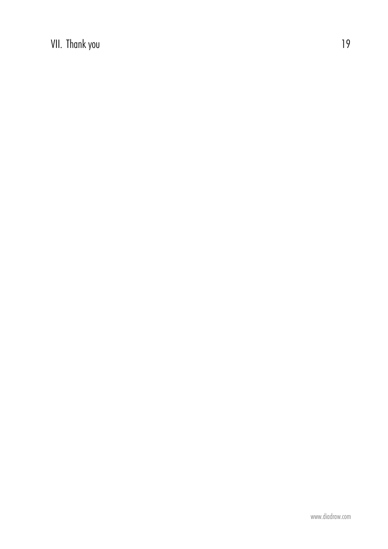VII. Thank you are also been approximately contained by the contract of  $19$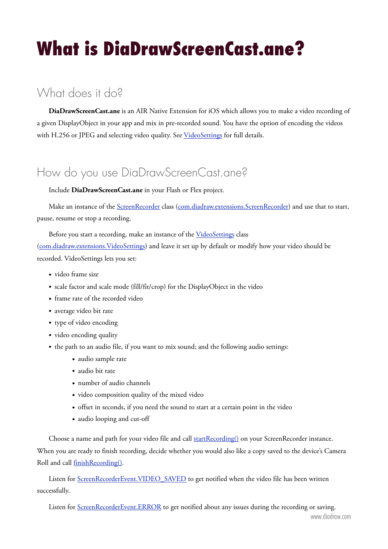## <span id="page-3-0"></span>**What is DiaDrawScreenCast.ane?**

## What does it do?

**DiaDrawScreenCast.ane** is an AIR Native Extension for iOS which allows you to make a video recording of a given DisplayObject in your app and mix in pre-recorded sound. You have the option of encoding the videos with H.256 or JPEG and selecting video quality. See [VideoSettings](#page-11-0) for full details.

### <span id="page-3-1"></span>How do you use DiaDrawScreenCast.ane?

Include **DiaDrawScreenCast.ane** in your Flash or Flex project.

Make an instance of the [ScreenRecorder](#page-8-1) class ([com.diadraw.extensions.ScreenRecorder](#page-8-1)) and use that to start, pause, resume or stop a recording.

Before you start a recording, make an instance of the [VideoSettings](#page-11-0) class [\(com.diadraw.extensions.VideoSettings](#page-11-0)) and leave it set u[p by default or](#page-11-0) modify how your video should be recorded. VideoSettings lets you set:

- video frame size
- scale factor and scale mode (fill/fit/crop) for the DisplayObject in the video
- frame rate of the recorded video
- average video bit rate
- type of video encoding
- video encoding quality
- the path to an audio file, if you want to mix sound; and the following audio settings:
	- audio sample rate
	- audio bit rate
	- number of audio channels
	- video composition quality of the mixed video
	- offset in seconds, if you need the sound to start at a certain point in the video
	- audio looping and cut-off

Choose a name and path for your video file and call [startRecording\(\)](#page-8-2) on your ScreenRecorder instance. When you are ready to finish recording, decide whether you would also like a copy saved to the device's Camera Roll and call [finishRecording\(\)](#page-9-0).

Listen for [ScreenRecorderEvent.VIDEO\\_SAVED](#page-10-1) to get notified when the video file has been written successfully.

Listen for **ScreenRecorderEvent.ERROR** to get notified about any issues during the recording or saving.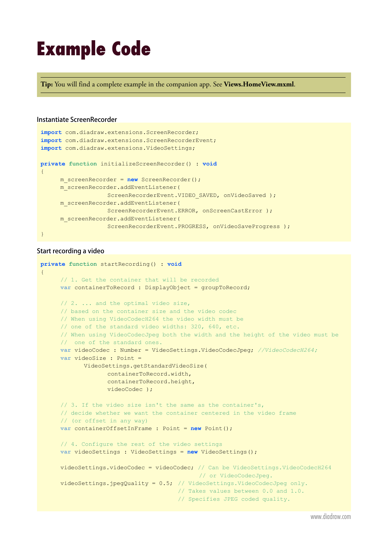## <span id="page-4-0"></span>**Example Code**

**Tip:** You will find a complete example in the companion app. See **Views.HomeView.mxml**.

#### <span id="page-4-1"></span>**Instantiate ScreenRecorder**

```
import com.diadraw.extensions.ScreenRecorder;
import com.diadraw.extensions.ScreenRecorderEvent;
import com.diadraw.extensions.VideoSettings;
private function initializeScreenRecorder() : void
{
      m_screenRecorder = new ScreenRecorder();
      m_screenRecorder.addEventListener( 
                   ScreenRecorderEvent.VIDEO SAVED, onVideoSaved );
      m_screenRecorder.addEventListener( 
                    ScreenRecorderEvent.ERROR, onScreenCastError );
      m_screenRecorder.addEventListener( 
                   ScreenRecorderEvent.PROGRESS, onVideoSaveProgress ) ;
}
```
#### <span id="page-4-2"></span>**Start recording a video**

```
private function startRecording() : void
{ 
      // 1. Get the container that will be recorded
     var containerToRecord : DisplayObject = groupToRecord; 
     // 2. ... and the optimal video size, 
       // based on the container size and the video codec
      // When using VideoCodecH264 the video width must be 
      // one of the standard video widths: 320, 640, etc.
      // When using VideoCodecJpeg both the width and the height of the video must be 
      // one of the standard ones.
     var videoCodec : Number = VideoSettings.VideoCodecJpeg; //VideoCodecH264;
     var videoSize : Point = 
             VideoSettings.getStandardVideoSize( 
                    containerToRecord.width, 
                    containerToRecord.height, 
                    videoCodec );
     // 3. If the video size isn't the same as the container's, 
       // decide whether we want the container centered in the video frame 
       // (or offset in any way)
     var containerOffsetInFrame : Point = new Point();
     // 4. Configure the rest of the video settings
     var videoSettings : VideoSettings = new VideoSettings();
      videoSettings.videoCodec = videoCodec; // Can be VideoSettings.VideoCodecH264 
                                               // or VideoCodecJpeg.
     videoSettings.ipea Quality = 0.5; // VideoSettings.VideoCodecJpeq only. // Takes values between 0.0 and 1.0. 
                                         // Specifies JPEG coded quality.
```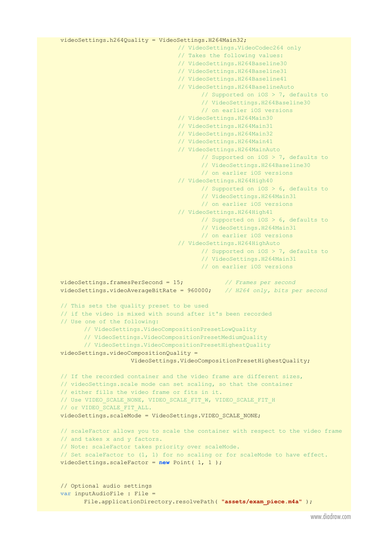```
 videoSettings.h264Quality = VideoSettings.H264Main32;
```
**var** inputAudioFile : File =

```
 // VideoSettings.VideoCodec264 only
                                   // Takes the following values: 
                                   // VideoSettings.H264Baseline30
                                   // VideoSettings.H264Baseline31
                                   // VideoSettings.H264Baseline41
                                   // VideoSettings.H264BaselineAuto
                                          // Supported on iOS > 7, defaults to
                                          // VideoSettings.H264Baseline30 
                                          // on earlier iOS versions
                                   // VideoSettings.H264Main30 
                                   // VideoSettings.H264Main31 
                                   // VideoSettings.H264Main32 
                                   // VideoSettings.H264Main41
                                   // VideoSettings.H264MainAuto
                                          // Supported on iOS > 7, defaults to
                                          // VideoSettings.H264Baseline30 
                                          // on earlier iOS versions
                                   // VideoSettings.H264High40 
                                          // Supported on iOS > 6, defaults to 
                                          // VideoSettings.H264Main31 
                                          // on earlier iOS versions
                                   // VideoSettings.H264High41 
                                          // Supported on iOS > 6, defaults to 
                                          // VideoSettings.H264Main31 
                                          // on earlier iOS versions
                                   // VideoSettings.H264HighAuto 
                                          // Supported on iOS > 7, defaults to 
                                          // VideoSettings.H264Main31 
                                          // on earlier iOS versions
 videoSettings.framesPerSecond = 15; // Frames per second
 videoSettings.videoAverageBitRate = 960000; // H264 only, bits per second
 // This sets the quality preset to be used 
 // if the video is mixed with sound after it's been recorded
 // Use one of the following: 
        // VideoSettings.VideoCompositionPresetLowQuality
        // VideoSettings.VideoCompositionPresetMediumQuality
        // VideoSettings.VideoCompositionPresetHighestQuality
 videoSettings.videoCompositionQuality = 
                     VideoSettings.VideoCompositionPresetHighestQuality;
// If the recorded container and the video frame are different sizes,
 // videoSettings.scale mode can set scaling, so that the container 
 // either fills the video frame or fits in it.
 // Use VIDEO_SCALE_NONE, VIDEO_SCALE_FIT_W, VIDEO_SCALE_FIT_H 
// or VIDEO SCALE FIT ALL.
videoSettings.scaleMode = VideoSettings.VIDEO SCALE NONE;
// scaleFactor allows you to scale the container with respect to the video frame
 // and takes x and y factors. 
 // Note: scaleFactor takes priority over scaleMode. 
 // Set scaleFactor to (1, 1) for no scaling or for scaleMode to have effect.
 videoSettings.scaleFactor = new Point( 1, 1 );
// Optional audio settings
```
File.applicationDirectory.resolvePath( "assets/exam piece.m4a" );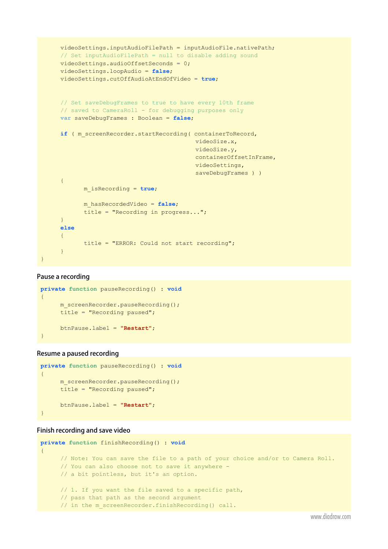```
 videoSettings.inputAudioFilePath = inputAudioFile.nativePath;
     // Set inputAudioFilePath = null to disable adding sound
      videoSettings.audioOffsetSeconds = 0;
      videoSettings.loopAudio = false;
      videoSettings.cutOffAudioAtEndOfVideo = true;
     // Set saveDebugFrames to true to have every 10th frame 
     // saved to CameraRoll - for debugging purposes only
     var saveDebugFrames : Boolean = false;
     if ( m_screenRecorder.startRecording( containerToRecord,
                                              videoSize.x,
                                              videoSize.y,
                                              containerOffsetInFrame,
                                              videoSettings,
                                             saveDebugFrames ) )
      {
             m_isRecording = true;
             m_hasRecordedVideo = false;
             title = "Recording in progress...";
 }
     else
      {
             title = "ERROR: Could not start recording";
      }
}
```
#### <span id="page-6-0"></span>**Pause a recording**

```
private function pauseRecording() : void
{
     m screenRecorder.pauseRecording();
      title = "Recording paused";
      btnPause.label = "Restart";
}
```
#### <span id="page-6-1"></span>**Resume a paused recording**

```
private function pauseRecording() : void
{
     m screenRecorder.pauseRecording();
      title = "Recording paused";
      btnPause.label = "Restart";
}
```
#### <span id="page-6-2"></span>**Finish recording and save video**

```
private function finishRecording() : void
{
     // Note: You can save the file to a path of your choice and/or to Camera Roll.
      // You can also choose not to save it anywhere - 
      // a bit pointless, but it's an option.
      // 1. If you want the file saved to a specific path, 
      // pass that path as the second argument
     // in the m screenRecorder.finishRecording() call.
```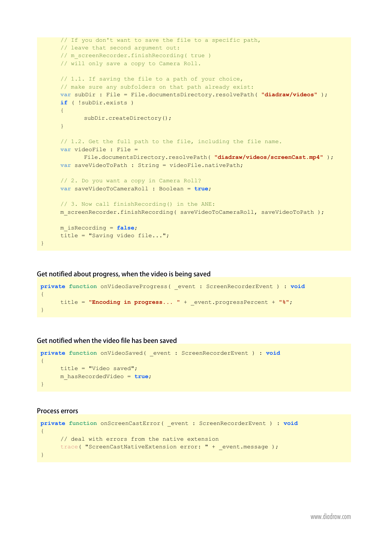```
 // If you don't want to save the file to a specific path, 
      // leave that second argument out:
     // m screenRecorder.finishRecording( true )
      // will only save a copy to Camera Roll.
      // 1.1. If saving the file to a path of your choice, 
      // make sure any subfolders on that path already exist:
     var subDir : File = File.documentsDirectory.resolvePath( "diadraw/videos" );
     if ( !subDir.exists )
       {
             subDir.createDirectory();
       }
     // 1.2. Get the full path to the file, including the file name.
     var videoFile : File = 
             File.documentsDirectory.resolvePath( "diadraw/videos/screenCast.mp4" );
     var saveVideoToPath : String = videoFile.nativePath;
     // 2. Do you want a copy in Camera Roll?
     var saveVideoToCameraRoll : Boolean = true;
     // 3. Now call finishRecording() in the ANE:
     m_screenRecorder.finishRecording( saveVideoToCameraRoll, saveVideoToPath );
      m_isRecording = false;
      title = "Saving video file...";
}
```
#### **Get notified about progress, when the video is being saved**

```
private function onVideoSaveProgress( _event : ScreenRecorderEvent ) : void
{
      title = "Encoding in progress... " + _event.progressPercent + "%";
}
```
#### <span id="page-7-0"></span>**Get notified when the video file has been saved**

```
private function onVideoSaved( _event : ScreenRecorderEvent ) : void
{
      title = "Video saved";
      m_hasRecordedVideo = true;
}
```
#### <span id="page-7-1"></span>**Process errors**

```
private function onScreenCastError( _event : ScreenRecorderEvent ) : void
{
     // deal with errors from the native extension
     trace( "ScreenCastNativeExtension error: " + _event.message );
}
```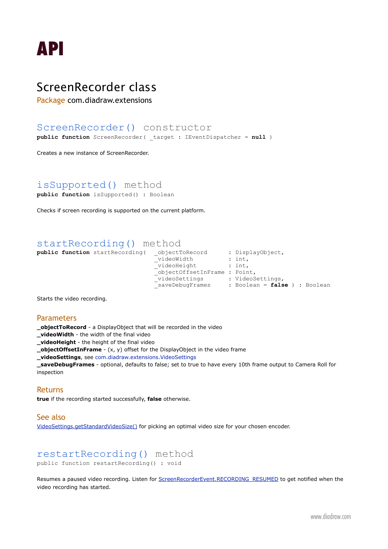<span id="page-8-0"></span>

### <span id="page-8-1"></span>ScreenRecorder class

Package com.diadraw.extensions

#### ScreenRecorder() constructor

**public function** ScreenRecorder( \_target : IEventDispatcher = **null** )

Creates a new instance of ScreenRecorder.

#### isSupported() method

**public function** isSupported() : Boolean

Checks if screen recording is supported on the current platform.

#### <span id="page-8-2"></span>startRecording() method

**public function** startRecording( \_objectToRecord : DisplayObject,  $\Box$ videoWidth  $\Box$ : int, \_videoWidth : int,<br>\_videoHeight : int, \_objectOffsetInFrame : Point, \_videoSettings : VideoSettings, \_saveDebugFrames : Boolean = **false** ) : Boolean

Starts the video recording.

#### **Parameters**

**\_objectToRecord** - a DisplayObject that will be recorded in the video

**\_videoWidth** - the width of the final video

**\_videoHeight** - the height of the final video

**\_objectOffsetInFrame** - (x, y) offset for the DisplayObject in the video frame

**\_videoSettings**, see [com.diadraw.extensions.VideoSettings](#page-11-0)

**\_saveDebugFrames** - optional, defaults to false; set to true to have every 10th frame output to Camera Roll for inspection

#### Returns

**true** if the recording started successfully, **false** otherwise.

#### See also

[VideoSettings.getStandardVideoSize\(\)](#page-11-1) for picking an optimal video size for your chosen encoder.

#### restartRecording() method public function restartRecording() : void

Resumes a paused video recording. Listen for [ScreenRecorderEvent.RECORDING\\_RESUMED](#page-10-3) to get notified when the video recording has started.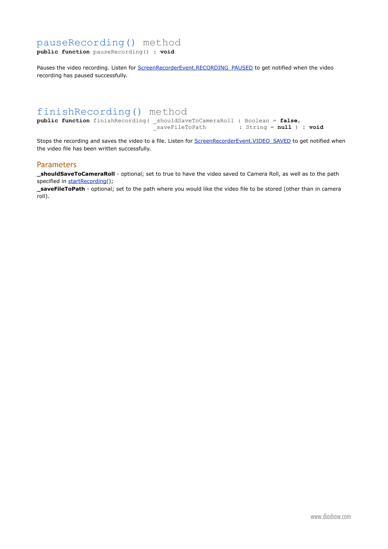#### pauseRecording() method

**public function** pauseRecording() : **void**

Pauses the video recording. Listen for [ScreenRecorderEvent.RECORDING\\_PAUSED](#page-10-4) to get notified when the video recording has paused successfully.

#### <span id="page-9-0"></span>finishRecording() method

**public function** finishRecording( \_shouldSaveToCameraRoll : Boolean = **false,**<br>saveFileToPath : String = **null** )  $:$  String =  $null$  ) :  $void$ 

Stops the recording and saves the video to a file. Listen for [ScreenRecorderEvent.VIDEO\\_SAVED](#page-10-1) to get notified when the video file has been written successfully.

#### Parameters

**\_shouldSaveToCameraRoll** - optional; set to true to have the video saved to Camera Roll, as well as to the path specified in [startRecording](#page-8-2)();

**\_saveFileToPath** - optional; set to the path where you would like the video file to be stored (other than in camera roll).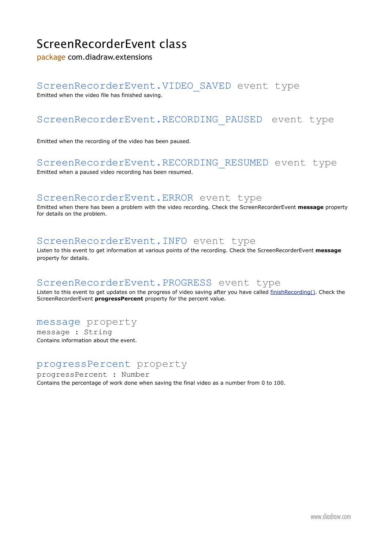## <span id="page-10-0"></span>ScreenRecorderEvent class

package com.diadraw.extensions

#### <span id="page-10-1"></span>ScreenRecorderEvent.VIDEO\_SAVED event type

Emitted when the video file has finished saving.

#### <span id="page-10-4"></span>ScreenRecorderEvent.RECORDING\_PAUSED event type

Emitted when the recording of the video has been paused.

#### <span id="page-10-3"></span>ScreenRecorderEvent.RECORDING\_RESUMED event type

Emitted when a paused video recording has been resumed.

#### <span id="page-10-2"></span>ScreenRecorderEvent.ERROR event type

Emitted when there has been a problem with the video recording. Check the ScreenRecorderEvent **message** property for details on the problem.

#### ScreenRecorderEvent.INFO event type

Listen to this event to get information at various points of the recording. Check the ScreenRecorderEvent **message** property for details.

#### ScreenRecorderEvent.PROGRESS event type

Listen to this event to get updates on the progress of video saving after you have called [finishRecording\(\)](#page-9-0). Check the ScreenRecorderEvent **progressPercent** property for the percent value.

#### message property

message : String Contains information about the event.

#### progressPercent property

progressPercent : Number Contains the percentage of work done when saving the final video as a number from 0 to 100.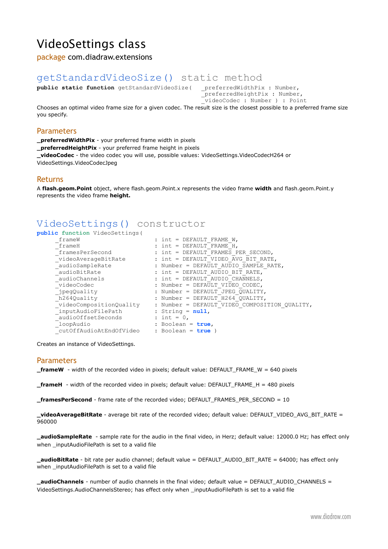## <span id="page-11-0"></span>VideoSettings class

package com.diadraw.extensions

## <span id="page-11-1"></span>getStandardVideoSize() static method<br>
public static function getStandardVideoSize( preferredWidthPix : Number,

**public static function** getStandardVideoSize( \_preferredHeightPix : Number,

\_<br>videoCodec : Number ) : Point

Chooses an optimal video frame size for a given codec. The result size is the closest possible to a preferred frame size you specify.

#### Parameters

**\_preferredWidthPix** - your preferred frame width in pixels **\_preferredHeightPix** - your preferred frame height in pixels **\_videoCodec** - the video codec you will use, possible values: VideoSettings.VideoCodecH264 or VideoSettings.VideoCodecJpeg

#### Returns

A **flash.geom.Point** object, where flash.geom.Point.x represents the video frame **width** and flash.geom.Point.y represents the video frame **height.**

#### VideoSettings() constructor

**public function** VideoSettings(

```
\begin{array}{rcl}\n  & \text{frame}\mathsf{W} \\
 - & \text{frame}\mathsf{H} \\
 - & \text{frame}\mathsf{H}\n \end{array} \hspace{3.8cm} ; \hspace{3.1cm} \begin{array}{rcl}\n \text{int} = & \text{DEFAULT} \text{ FRAME\_W}, \\
 \text{int} = & \text{DEFAULT} \text{ FRAME } \mathsf{H}. \end{array} _frameH : int = DEFAULT_FRAME_H,
 _framesPerSecond : int = DEFAULT_FRAMES_PER_SECOND,
 _videoAverageBitRate : int = DEFAULT_VIDEO_AVG_BIT_RATE,
 _audioSampleRate : Number = DEFAULT_AUDIO_SAMPLE_RATE,
     \begin{array}{lll} \texttt{audioBitRate} & \texttt{: int = DERAULT_AU\overline{D}IO_BIT_RATE,} \\ \texttt{audioChannels} & \texttt{: int = DERAULT AUDIO CHANNELS,} \end{array} _audioChannels : int = DEFAULT_AUDIO_CHANNELS,
 _videoCodec : Number = DEFAULT_VIDEO_CODEC,
 _jpegQuality : Number = DEFAULT_JPEG_QUALITY,
 _h264Quality : Number = DEFAULT_H264_QUALITY,
 _videoCompositionQuality : Number = DEFAULT_VIDEO_COMPOSITION_QUALITY,
      _inputAudioFilePath : String = null,
       audioOffsetSeconds
        _loopAudio : Boolean = true,
       _cutOffAudioAtEndOfVideo : Boolean = true )
```
Creates an instance of VideoSettings.

#### **Parameters**

**frameW** - width of the recorded video in pixels; default value: DEFAULT\_FRAME\_W = 640 pixels

**\_frameH** - width of the recorded video in pixels; default value: DEFAULT\_FRAME\_H = 480 pixels

**\_framesPerSecond** - frame rate of the recorded video; DEFAULT\_FRAMES\_PER\_SECOND = 10

**\_videoAverageBitRate** - average bit rate of the recorded video; default value: DEFAULT\_VIDEO\_AVG\_BIT\_RATE = 960000

**\_audioSampleRate** - sample rate for the audio in the final video, in Herz; default value: 12000.0 Hz; has effect only when inputAudioFilePath is set to a valid file

**\_audioBitRate** - bit rate per audio channel; default value = DEFAULT\_AUDIO\_BIT\_RATE = 64000; has effect only when \_inputAudioFilePath is set to a valid file

**\_audioChannels** - number of audio channels in the final video; default value = DEFAULT\_AUDIO\_CHANNELS = VideoSettings.AudioChannelsStereo; has effect only when \_inputAudioFilePath is set to a valid file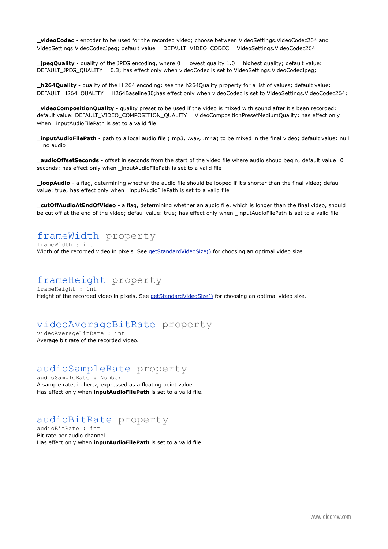**\_videoCodec** - encoder to be used for the recorded video; choose between VideoSettings.VideoCodec264 and VideoSettings.VideoCodecJpeg; default value = DEFAULT\_VIDEO\_CODEC = VideoSettings.VideoCodec264

**\_jpegQuality** - quality of the JPEG encoding, where 0 = lowest quality 1.0 = highest quality; default value: DEFAULT\_JPEG\_QUALITY = 0.3; has effect only when videoCodec is set to VideoSettings.VideoCodecJpeg;

**\_h264Quality** - quality of the H.264 encoding; see the h264Quality property for a list of values; default value: DEFAULT\_H264\_QUALITY = H264Baseline30;has effect only when videoCodec is set to VideoSettings.VideoCodec264;

**\_videoCompositionQuality** - quality preset to be used if the video is mixed with sound after it's been recorded; default value: DEFAULT\_VIDEO\_COMPOSITION\_QUALITY = VideoCompositionPresetMediumQuality; has effect only when inputAudioFilePath is set to a valid file

**\_inputAudioFilePath** - path to a local audio file (.mp3, .wav, .m4a) to be mixed in the final video; default value: null  $=$  no audio

**\_audioOffsetSeconds** - offset in seconds from the start of the video file where audio shoud begin; default value: 0 seconds; has effect only when \_inputAudioFilePath is set to a valid file

**\_loopAudio** - a flag, determining whether the audio file should be looped if it's shorter than the final video; defaul value: true; has effect only when inputAudioFilePath is set to a valid file

**\_cutOffAudioAtEndOfVideo** - a flag, determining whether an audio file, which is longer than the final video, should be cut off at the end of the video; defaul value: true; has effect only when inputAudioFilePath is set to a valid file

#### frameWidth property

frameWidth : int Width of the recorded video in pixels. See [getStandardVideoSize\(\)](#page-11-1) for choosing an optimal video size.

#### frameHeight property frameHeight : int

Height of the recorded video in pixels. See [getStandardVideoSize\(\)](#page-11-1) for choosing an optimal video size.

#### videoAverageBitRate property

videoAverageBitRate : int Average bit rate of the recorded video.

### audioSampleRate property

audioSampleRate : Number A sample rate, in hertz, expressed as a floating point value. Has effect only when **inputAudioFilePath** is set to a valid file.

#### audioBitRate property

audioBitRate : int Bit rate per audio channel. Has effect only when **inputAudioFilePath** is set to a valid file.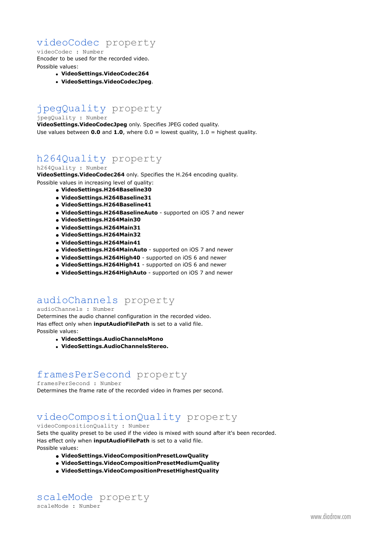#### videoCodec property

#### videoCodec : Number Encoder to be used for the recorded video. Possible values:

- **VideoSettings.VideoCodec264**
- **VideoSettings.VideoCodecJpeg**.

### jpegQuality property

jpegQuality : Number

**VideoSettings.VideoCodecJpeg** only. Specifies JPEG coded quality. Use values between **0.0** and **1.0**, where 0.0 = lowest quality, 1.0 = highest quality.

#### h264Quality property h264Quality : Number

**VideoSettings.VideoCodec264** only. Specifies the H.264 encoding quality. Possible values in increasing level of quality:

- **• VideoSettings.H264Baseline30**
- **• VideoSettings.H264Baseline31**
- **• VideoSettings.H264Baseline41**
- **• VideoSettings.H264BaselineAuto** supported on iOS 7 and newer
- **• VideoSettings.H264Main30**
- **• VideoSettings.H264Main31**
- **• VideoSettings.H264Main32**
- **• VideoSettings.H264Main41**
- **• VideoSettings.H264MainAuto** supported on iOS 7 and newer
- **• VideoSettings.H264High40** supported on iOS 6 and newer
- **• VideoSettings.H264High41** supported on iOS 6 and newer
- **• VideoSettings.H264HighAuto** supported on iOS 7 and newer

#### audioChannels property

#### audioChannels : Number

Determines the audio channel configuration in the recorded video. Has effect only when **inputAudioFilePath** is set to a valid file. Possible values:

- **VideoSettings.AudioChannelsMono**
- **VideoSettings.AudioChannelsStereo.**

#### framesPerSecond property

#### framesPerSecond : Number

Determines the frame rate of the recorded video in frames per second.

### videoCompositionQuality property

#### videoCompositionQuality : Number

Sets the quality preset to be used if the video is mixed with sound after it's been recorded. Has effect only when **inputAudioFilePath** is set to a valid file. Possible values:

- **• VideoSettings.VideoCompositionPresetLowQuality**
- **• VideoSettings.VideoCompositionPresetMediumQuality**
- **• VideoSettings.VideoCompositionPresetHighestQuality**

### scaleMode property

scaleMode : Number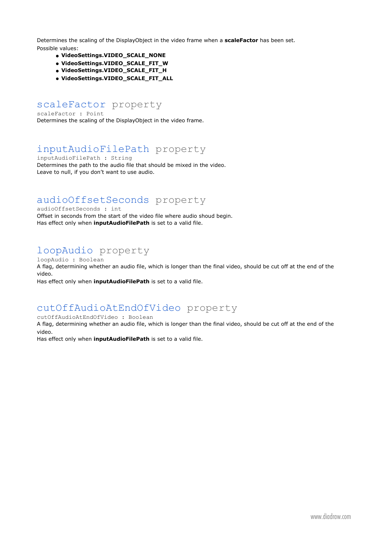Determines the scaling of the DisplayObject in the video frame when a **scaleFactor** has been set. Possible values:

- **• VideoSettings.VIDEO\_SCALE\_NONE**
- **• VideoSettings.VIDEO\_SCALE\_FIT\_W**
- **• VideoSettings.VIDEO\_SCALE\_FIT\_H**
- **• VideoSettings.VIDEO\_SCALE\_FIT\_ALL**

#### scaleFactor property

scaleFactor : Point Determines the scaling of the DisplayObject in the video frame.

#### inputAudioFilePath property

inputAudioFilePath : String Determines the path to the audio file that should be mixed in the video. Leave to null, if you don't want to use audio.

#### audioOffsetSeconds property

audioOffsetSeconds : int

Offset in seconds from the start of the video file where audio shoud begin. Has effect only when **inputAudioFilePath** is set to a valid file.

### loopAudio property

loopAudio : Boolean A flag, determining whether an audio file, which is longer than the final video, should be cut off at the end of the video.

Has effect only when **inputAudioFilePath** is set to a valid file.

#### cutOffAudioAtEndOfVideo property

cutOffAudioAtEndOfVideo : Boolean

A flag, determining whether an audio file, which is longer than the final video, should be cut off at the end of the video.

Has effect only when **inputAudioFilePath** is set to a valid file.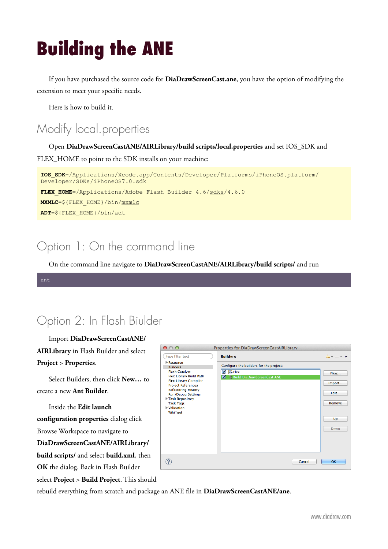## <span id="page-15-0"></span>**Building the ANE**

If you have purchased the source code for **DiaDrawScreenCast.ane**, you have the option of modifying the extension to meet your specific needs.

Here is how to build it.

## <span id="page-15-1"></span>Modify local.properties

Open **DiaDrawScreenCastANE/AIRLibrary/build scripts/local.properties** and set IOS\_SDK and FLEX HOME to point to the SDK installs on your machine:

```
IOS_SDK=/Applications/Xcode.app/Contents/Developer/Platforms/iPhoneOS.platform/
Developer/SDKs/iPhoneOS7.0.sdk
FLEX HOME=/Applications/Adobe Flash Builder 4.6/sdks/4.6.0
MXMLC=${FLEX_HOME}/bin/mxmlc
ADT=${FLEX_HOME}/bin/adt
```
## <span id="page-15-2"></span>Option 1: On the command line

On the command line navigate to **DiaDrawScreenCastANE/AIRLibrary/build scripts/** and run

<span id="page-15-3"></span>

## Option 2: In Flash Biulder

Import **DiaDrawScreenCastANE/**

**AIRLibrary** in Flash Builder and select **Project** > **Properties**.

Select Builders, then click **New…** to create a new **Ant Builder**.

Inside the **Edit launch configuration properties** dialog click Browse Workspace to navigate to **DiaDrawScreenCastANE/AIRLibrary/ build scripts/** and select **build.xml**, then **OK** the dialog. Back in Flash Builder



select **Project** > **Build Project**. This should

rebuild everything from scratch and package an ANE file in **DiaDrawScreenCastANE/ane**.